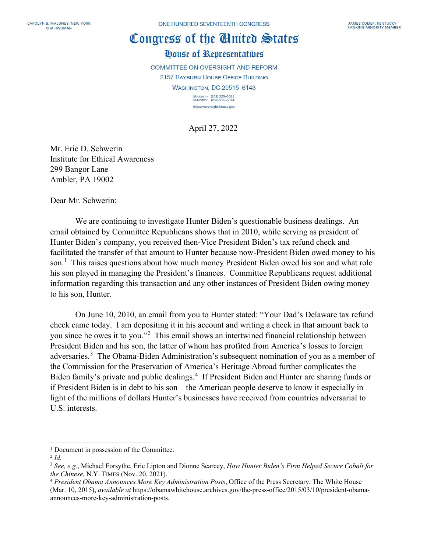## Congress of the Cinited States

House of Representatives

**COMMITTEE ON OVERSIGHT AND REFORM** 

2157 RAYBURN HOUSE OFFICE BUILDING **WASHINGTON, DC 20515-6143** 

> MAJORITY (202) 225-5051<br>MINORITY (202) 225-5074 https://oversight.house.gov

April 27, 2022

Mr. Eric D. Schwerin Institute for Ethical Awareness 299 Bangor Lane Ambler, PA 19002

Dear Mr. Schwerin:

We are continuing to investigate Hunter Biden's questionable business dealings. An email obtained by Committee Republicans shows that in 2010, while serving as president of Hunter Biden's company, you received then-Vice President Biden's tax refund check and facilitated the transfer of that amount to Hunter because now-President Biden owed money to his son.<sup>[1](#page-0-0)</sup> This raises questions about how much money President Biden owed his son and what role his son played in managing the President's finances. Committee Republicans request additional information regarding this transaction and any other instances of President Biden owing money to his son, Hunter.

On June 10, 2010, an email from you to Hunter stated: "Your Dad's Delaware tax refund check came today. I am depositing it in his account and writing a check in that amount back to you since he owes it to you."<sup>[2](#page-0-1)</sup> This email shows an intertwined financial relationship between President Biden and his son, the latter of whom has profited from America's losses to foreign adversaries.<sup>[3](#page-0-2)</sup> The Obama-Biden Administration's subsequent nomination of you as a member of the Commission for the Preservation of America's Heritage Abroad further complicates the Biden family's private and public dealings.<sup>[4](#page-0-3)</sup> If President Biden and Hunter are sharing funds or if President Biden is in debt to his son—the American people deserve to know it especially in light of the millions of dollars Hunter's businesses have received from countries adversarial to U.S. interests.

<span id="page-0-0"></span><sup>&</sup>lt;sup>1</sup> Document in possession of the Committee.

<span id="page-0-1"></span><sup>2</sup> *Id.*

<span id="page-0-2"></span><sup>3</sup> *See, e.g.*, Michael Forsythe, Eric Lipton and Dionne Searcey, *How Hunter Biden's Firm Helped Secure Cobalt for the Chinese*, N.Y. TIMES (Nov. 20, 2021).

<span id="page-0-3"></span><sup>4</sup> *President Obama Announces More Key Administration Posts*, Office of the Press Secretary, The White House (Mar. 10, 2015), *available at* https://obamawhitehouse.archives.gov/the-press-office/2015/03/10/president-obamaannounces-more-key-administration-posts.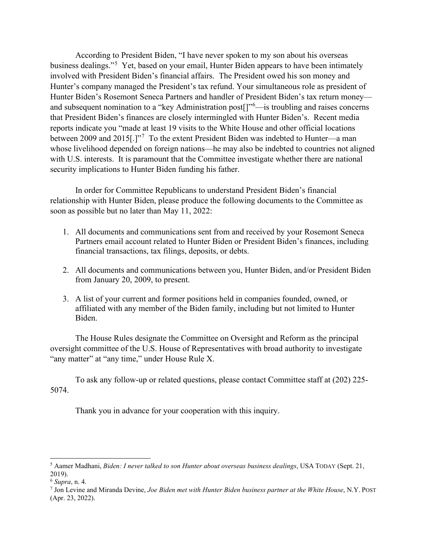According to President Biden, "I have never spoken to my son about his overseas business dealings."<sup>[5](#page-1-0)</sup> Yet, based on your email, Hunter Biden appears to have been intimately involved with President Biden's financial affairs. The President owed his son money and Hunter's company managed the President's tax refund. Your simultaneous role as president of Hunter Biden's Rosemont Seneca Partners and handler of President Biden's tax return money— and subsequent nomination to a "key Administration post[]"<sup>[6](#page-1-1)</sup>—is troubling and raises concerns that President Biden's finances are closely intermingled with Hunter Biden's. Recent media reports indicate you "made at least 19 visits to the White House and other official locations between 2009 and 2015[.] $\frac{1}{7}$  $\frac{1}{7}$  $\frac{1}{7}$  To the extent President Biden was indebted to Hunter—a man whose livelihood depended on foreign nations—he may also be indebted to countries not aligned with U.S. interests. It is paramount that the Committee investigate whether there are national security implications to Hunter Biden funding his father.

In order for Committee Republicans to understand President Biden's financial relationship with Hunter Biden, please produce the following documents to the Committee as soon as possible but no later than May 11, 2022:

- 1. All documents and communications sent from and received by your Rosemont Seneca Partners email account related to Hunter Biden or President Biden's finances, including financial transactions, tax filings, deposits, or debts.
- 2. All documents and communications between you, Hunter Biden, and/or President Biden from January 20, 2009, to present.
- 3. A list of your current and former positions held in companies founded, owned, or affiliated with any member of the Biden family, including but not limited to Hunter Biden.

The House Rules designate the Committee on Oversight and Reform as the principal oversight committee of the U.S. House of Representatives with broad authority to investigate "any matter" at "any time," under House Rule X.

To ask any follow-up or related questions, please contact Committee staff at (202) 225- 5074.

Thank you in advance for your cooperation with this inquiry.

<span id="page-1-0"></span><sup>5</sup> Aamer Madhani, *Biden: I never talked to son Hunter about overseas business dealings*, USA TODAY (Sept. 21, 2019).

<span id="page-1-1"></span><sup>6</sup> *Supra*, n. 4.

<span id="page-1-2"></span><sup>7</sup> Jon Levine and Miranda Devine, *Joe Biden met with Hunter Biden business partner at the White House*, N.Y. POST (Apr. 23, 2022).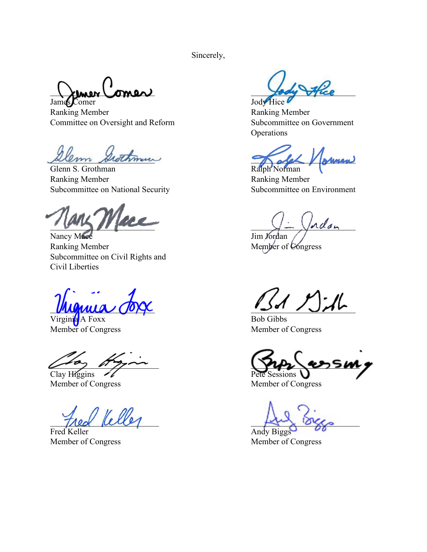Sincerely,

 $\lambda$ lmer (omer) James Comer Jody Hice

Ranking Member **Ranking Member** Ranking Member Committee on Oversight and Reform Subcommittee on Government

Glenn S. Grothman Ralph Norman Ralph Norman Ranking Member Ranking Member Subcommittee on National Security Subcommittee on Environment

 $\frac{1}{\sqrt{2}}$  and  $\frac{1}{\sqrt{2}}$ 

Nancy Mace  $\overline{\text{Jim Yordan}}$ Ranking Member Member of Congress Subcommittee on Civil Rights and Civil Liberties

Virginia A Foxx Bob Gibbs Member of Congress Member of Congress

Fred Keller **Andy Biggs** 

**Operations** 

em Grothmun Kaleh Marman

 $\mathbb{Z}$ A  $\mathbb{Z}$  dh

 $\sim$   $\sim$   $\sim$   $\sim$ Clay Higgins  $\mathscr{U}$  Pete Sessions

Member of Congress Member of Congress

 $\frac{1}{2}$   $\frac{1}{2}$   $\frac{1}{2}$   $\frac{1}{2}$   $\frac{1}{2}$   $\frac{1}{2}$   $\frac{1}{2}$   $\frac{1}{2}$   $\frac{1}{2}$   $\frac{1}{2}$   $\frac{1}{2}$   $\frac{1}{2}$   $\frac{1}{2}$   $\frac{1}{2}$   $\frac{1}{2}$   $\frac{1}{2}$   $\frac{1}{2}$   $\frac{1}{2}$   $\frac{1}{2}$   $\frac{1}{2}$   $\frac{1}{2}$   $\frac{1}{2}$ 

Member of Congress Member of Congress